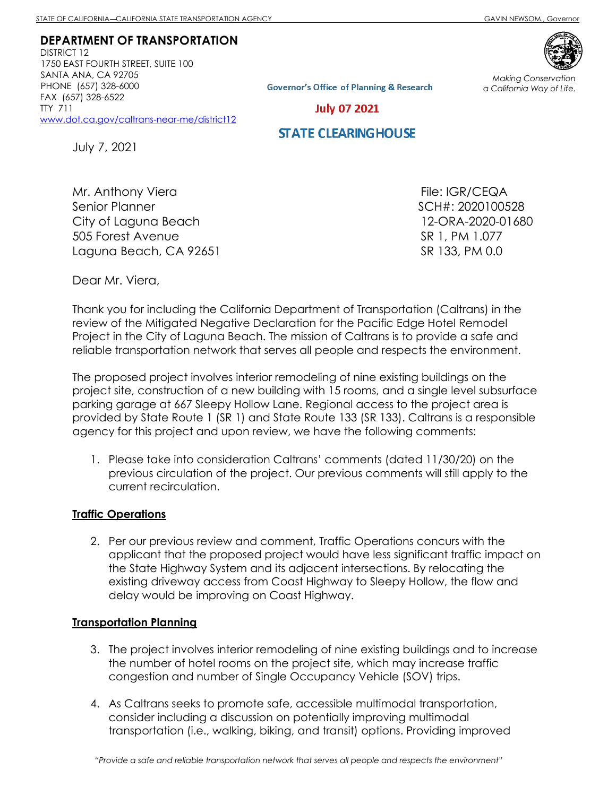*Making Conservation a California Way of Life.*

**DEPARTMENT OF TRANSPORTATION**  DISTRICT 12

1750 EAST FOURTH STREET, SUITE 100 SANTA ANA, CA 92705 PHONE (657) 328-6000 FAX (657) 328-6522 TTY 711 [www.dot.ca.gov/caltrans-near-me/district12](http://www.dot.ca.gov/caltrans-near-me/district12)



**Governor's Office of Planning & Research** 

**July 07 2021** 

# **STATE CLEARING HOUSE**

July 7, 2021

Mr. Anthony Viera Senior Planner City of Laguna Beach 505 Forest Avenue Laguna Beach, CA 92651

File: IGR/CEQA SCH#: 2020100528 12-ORA-2020-01680 SR 1, PM 1.077 SR 133, PM 0.0

Dear Mr. Viera,

Thank you for including the California Department of Transportation (Caltrans) in the review of the Mitigated Negative Declaration for the Pacific Edge Hotel Remodel Project in the City of Laguna Beach. The mission of Caltrans is to provide a safe and reliable transportation network that serves all people and respects the environment.

The proposed project involves interior remodeling of nine existing buildings on the project site, construction of a new building with 15 rooms, and a single level subsurface parking garage at 667 Sleepy Hollow Lane. Regional access to the project area is provided by State Route 1 (SR 1) and State Route 133 (SR 133). Caltrans is a responsible agency for this project and upon review, we have the following comments:

1. Please take into consideration Caltrans' comments (dated 11/30/20) on the previous circulation of the project. Our previous comments will still apply to the current recirculation.

### **Traffic Operations**

2. Per our previous review and comment, Traffic Operations concurs with the applicant that the proposed project would have less significant traffic impact on the State Highway System and its adjacent intersections. By relocating the existing driveway access from Coast Highway to Sleepy Hollow, the flow and delay would be improving on Coast Highway.

#### **Transportation Planning**

- 3. The project involves interior remodeling of nine existing buildings and to increase the number of hotel rooms on the project site, which may increase traffic congestion and number of Single Occupancy Vehicle (SOV) trips.
- 4. As Caltrans seeks to promote safe, accessible multimodal transportation, consider including a discussion on potentially improving multimodal transportation (i.e., walking, biking, and transit) options. Providing improved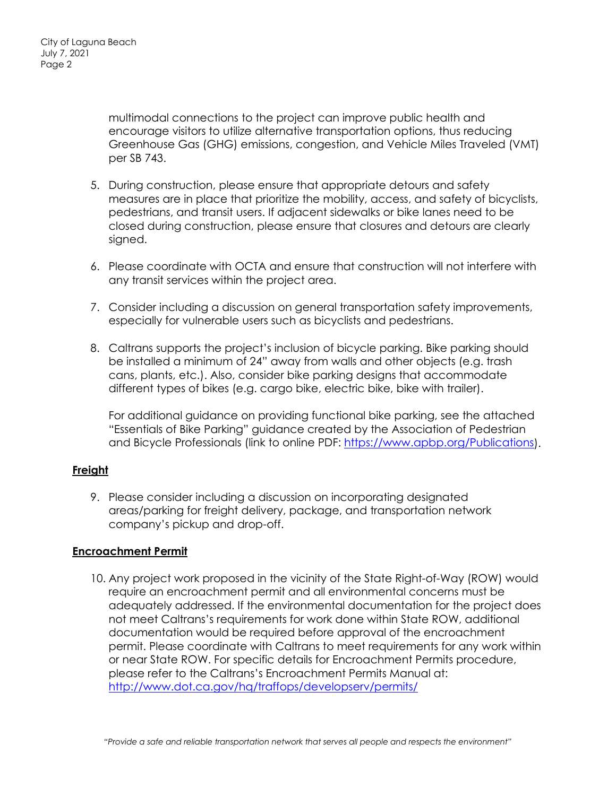multimodal connections to the project can improve public health and encourage visitors to utilize alternative transportation options, thus reducing Greenhouse Gas (GHG) emissions, congestion, and Vehicle Miles Traveled (VMT) per SB 743.

- 5. During construction, please ensure that appropriate detours and safety measures are in place that prioritize the mobility, access, and safety of bicyclists, pedestrians, and transit users. If adjacent sidewalks or bike lanes need to be closed during construction, please ensure that closures and detours are clearly signed.
- 6. Please coordinate with OCTA and ensure that construction will not interfere with any transit services within the project area.
- 7. Consider including a discussion on general transportation safety improvements, especially for vulnerable users such as bicyclists and pedestrians.
- 8. Caltrans supports the project's inclusion of bicycle parking. Bike parking should be installed a minimum of 24" away from walls and other objects (e.g. trash cans, plants, etc.). Also, consider bike parking designs that accommodate different types of bikes (e.g. cargo bike, electric bike, bike with trailer).

For additional guidance on providing functional bike parking, see the attached "Essentials of Bike Parking" guidance created by the Association of Pedestrian and Bicycle Professionals (link to online PDF: [https://www.apbp.org/Publications\)](https://www.apbp.org/Publications).

## **Freight**

9. Please consider including a discussion on incorporating designated areas/parking for freight delivery, package, and transportation network company's pickup and drop-off.

### **Encroachment Permit**

10. Any project work proposed in the vicinity of the State Right-of-Way (ROW) would require an encroachment permit and all environmental concerns must be adequately addressed. If the environmental documentation for the project does not meet Caltrans's requirements for work done within State ROW, additional documentation would be required before approval of the encroachment permit. Please coordinate with Caltrans to meet requirements for any work within or near State ROW. For specific details for Encroachment Permits procedure, please refer to the Caltrans's Encroachment Permits Manual at: <http://www.dot.ca.gov/hq/traffops/developserv/permits/>